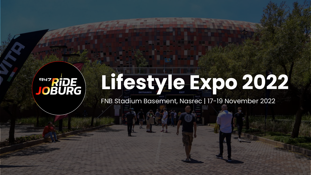# **Lifestyle Expo 2022 ENTRIDE**<br>JOBURG

FNB Stadium Basement, Nasrec | 17-19 November 2022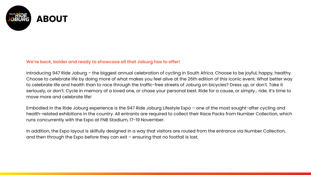

#### **We're back, bolder and ready to showcase all that Joburg has to offer!**

Introducing 947 Ride Joburg – the biggest annual celebration of cycling in South Africa. Choose to be joyful, happy, healthy. Choose to celebrate life by doing more of what makes you feel alive at the 26th edition of this iconic event. What better way to celebrate life and health than to race through the traffic-free streets of Joburg on bicycles? Dress up, or don't. Take it seriously, or don't. Cycle in memory of a loved one, or chase your personal best. Ride for a cause, or simply… ride. It's time to move more and celebrate life!

Embodied in the Ride Joburg experience is the 947 Ride Joburg Lifestyle Expo – one of the most sought-after cycling and health-related exhibitions in the country. All entrants are required to collect their Race Packs from Number Collection, which runs concurrently with the Expo at FNB Stadium, 17-19 November.

In addition, the Expo layout is skilfully designed in a way that visitors are routed from the entrance via Number Collection, and then through the Expo before they can exit – ensuring that no footfall is lost.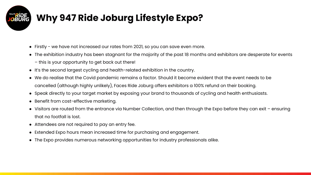# **Why 947 Ride Joburg Lifestyle Expo?**

- Firstly we have not increased our rates from 2021, so you can save even more.
- The exhibition industry has been stagnant for the majority of the past 18 months and exhibitors are desperate for events
	- this is your opportunity to get back out there!
- It's the second largest cycling and health-related exhibition in the country.
- We do realise that the Covid pandemic remains a factor. Should it become evident that the event needs to be cancelled (although highly unlikely), Faces Ride Joburg offers exhibitors a 100% refund on their booking.
- Speak directly to your target market by exposing your brand to thousands of cycling and health enthusiasts.
- Benefit from cost-effective marketing.
- Visitors are routed from the entrance via Number Collection, and then through the Expo before they can exit ensuring that no footfall is lost.
- Attendees are not required to pay an entry fee.
- Extended Expo hours mean increased time for purchasing and engagement.
- The Expo provides numerous networking opportunities for industry professionals alike.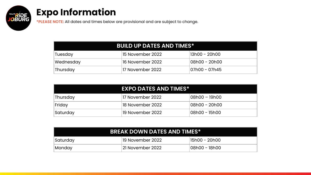## **Expo Information**

**ENDE**<br>JOBURG

**\*PLEASE NOTE:** All dates and times below are provisional and are subject to change.

### **BUILD UP DATES AND TIMES\***

| Tuesday   | '15 November 2022 . | '13h00 - 20h00 |
|-----------|---------------------|----------------|
| Wednesday | 16 November 2022    | !08h00 - 20h00 |
| Thursday  | 17 November 2022    |                |

|          | <b>EXPO DATES AND TIMES*</b> |                |  |
|----------|------------------------------|----------------|--|
| Thursday | 17 November 2022             | !08h00 − 19h00 |  |
| Friday   | 18 November 2022             | '08h00 − 20h00 |  |
| Saturday | 19 November 2022             | 08h00 – 15h00  |  |

| <b>BREAK DOWN DATES AND TIMES*</b> |                   |                |  |  |
|------------------------------------|-------------------|----------------|--|--|
| Saturday                           | '19 November 2022 | 15h00 - 20h00  |  |  |
| Monday                             | 121 November 2022 | †08h00 – 18h00 |  |  |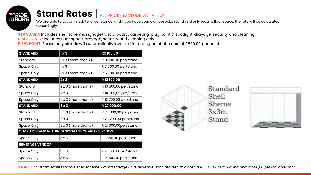

## **Stand Rates** | ALL PRICES EXCLUDE VAT AT 15%

We are able to accommodate larger stands, and if you have your own bespoke stand and only require floor space, the rate will be calculated accordingly.

**STANDARD:** Includes shell scheme, signage/fascia board, carpeting, plug point & spotlight, drayage, security and cleaning. **SPACE ONLY:** Includes floor space, drayage, security and cleaning only. **PLUG POINT**: Space only stands will automatically invoiced for a plug point at a cost of R550.00 per point.

| <b>STANDARD</b>                                 | 1x3                        | R9 100,00             |  |  |
|-------------------------------------------------|----------------------------|-----------------------|--|--|
| Standard                                        | $1x3$ (more than 2)        | R 8 200,00 per/stand  |  |  |
| Space Only                                      | $1 \times 3$               | R 7 500,00 per/stand  |  |  |
| Space Only                                      | $1x3$ (more than 2)        | R 6 700,00 per/stand  |  |  |
| <b>STANDARD</b>                                 | 2x <sub>3</sub>            | R 18 100,00           |  |  |
| Standard                                        | $2 \times 3$ (more than 2) | R 16 300,00 per/stand |  |  |
| Space Only                                      | 2x3                        | R 14 000,00 per/stand |  |  |
| Space Only                                      | $2 \times 3$ (more than 2) | R 12 700,00 per/stand |  |  |
| <b>STANDARD</b>                                 | 3x3                        | R 27 000,00           |  |  |
| Standard                                        | $3x3$ (more than 2)        | R 24 300,00 per/stand |  |  |
| Space Only                                      | $3 \times 3$               | R 23 200,00 per/stand |  |  |
| Space Only                                      | $3 \times 3$ (more than 2) | R 21 000,00per/stand  |  |  |
| CHARITY STAND WITHIN DESIGNATED CHARITY SECTION |                            |                       |  |  |
| Space Only                                      | 3x3                        | R 1850,00 per/stand   |  |  |
| <b>BEVERAGE VENDOR</b>                          |                            |                       |  |  |
| Space Only                                      | 3x3                        | R 7 500,00 per/stand  |  |  |
| Space Only                                      | 3x6                        | R 9 000,00 per/stand  |  |  |





**STORAGE:** *Customisable lockable shell scheme walling storage units available upon request, at a cost of R 310.00 / m of walling and R1 500,00 per lockable door.*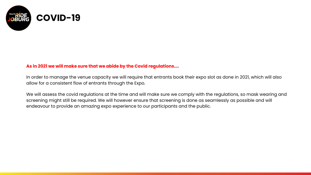

### **As in 2021 we will make sure that we abide by the Covid regulations....**

In order to manage the venue capacity we will require that entrants book their expo slot as done in 2021, which will also allow for a consistent flow of entrants through the Expo.

We will assess the covid regulations at the time and will make sure we comply with the regulations, so mask wearing and screening might still be required. We will however ensure that screening is done as seamlessly as possible and will endeavour to provide an amazing expo experience to our participants and the public.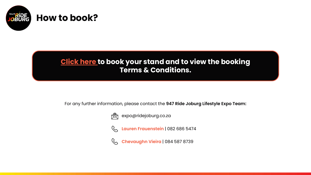

## **[Click here](https://forms.gle/N2CL8FihVgVnc6T56) to book your stand and to view the booking Terms & Conditions.**

For any further information, please contact the **947 Ride Joburg Lifestyle Expo Team:**



expo@ridejoburg.co.za

**Lauren Frauenstein** | 082 686 5474

**Chevaughn Vieira** | 084 587 8739